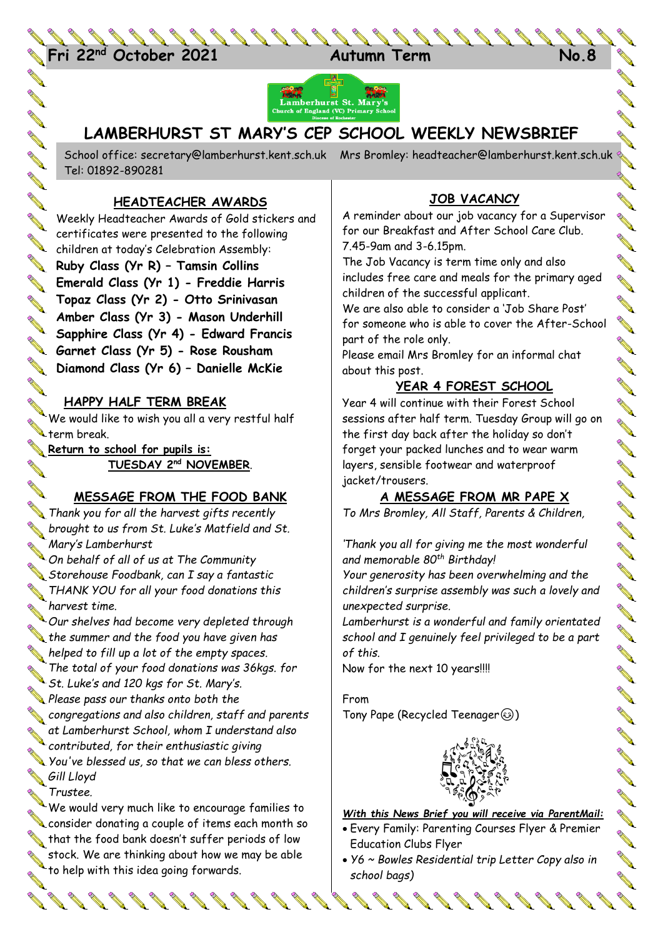24 **Fri 22nd October 2021 Autumn Term No.8**



# **LAMBERHURST ST MARY'S CEP SCHOOL WEEKLY NEWSBRIEF**

School office: [secretary@lamberhurst.kent.sch.uk](mailto:secretary@lamberhurst.kent.sch.uk) Mrs Bromley: headteacher@lamberhurst.kent.sch.uk Tel: 01892-890281

### **HEADTEACHER AWARDS**

Weekly Headteacher Awards of Gold stickers and certificates were presented to the following certificates were processed.<br>Children at today's Celebration Assembly: **Ruby Class (Yr R) – Tamsin Collins Emerald Class (Yr 1) - Freddie Harris Topaz Class (Yr 2) - Otto Srinivasan Amber Class (Yr 3) - Mason Underhill Sapphire Class (Yr 4) - Edward Francis Garnet Class (Yr 5) - Rose Rousham Diamond Class (Yr 6) – Danielle McKie**

### **HAPPY HALF TERM BREAK**

**AND ROW** 

**Contract of the Contract of the Contract of The Contract of The Contract of The Contract of The Contract of The Contract of The Contract of The Contract of The Contract of The Contract of The Contract of The Contract of T** 

**ANTI AND** 

**ANTI** 

**AND** 

**ANTI** 

**ANTI** 

We would like to wish you all a very restful half www.changer.com

**Return to school for pupils is:**<br>TUESDAY 2<sup>nd</sup> NOV **TUESDAY 2nd NOVEMBER**.

### **MESSAGE FROM THE FOOD BANK**

*Thank you for all the harvest gifts recently brought to us from St. Luke's Matfield and St. Mary's Lamberhurst*

*On behalf of all of us at The Community Storehouse Foodbank, can I say a fantastic THANK YOU for all your food donations this harvest time.*

*Our shelves had become very depleted through*<br> *Our shelves had become very depleted through* the summer and the food you have given has *helped to fill up a lot of the empty spaces. The total of your food donations was 36kgs. for*  **St. Luke's and 120 kgs for St. Mary's.**<br>St. Luke's and 120 kgs for St. Mary's.

*Please pass our thanks onto both the congregations and also children, staff and parents at Lamberhurst School, whom I understand also*  at Lamberhurst *School, which*<br>contributed, for their enthusiastic giving<br>that we can bless of *You've blessed us, so that we can bless others. Gill Lloyd*

*Trustee.*

We would very much like to encourage families to **EXECUTE TO A CONSIDER A CONSIDER CONSIDER A CONSIDER A CONSIDER A CONSIDER**<br>A consider donating a couple of items each month so  $\blacklozenge$  that the food bank doesn't suffer periods of low stock. We are thinking about how we may be able stock. We are muning --.<br>to help with this idea going forwards.

## **JOB VACANCY**

A reminder about our job vacancy for a Supervisor for our Breakfast and After School Care Club. 7.45-9am and 3-6.15pm.

The Job Vacancy is term time only and also includes free care and meals for the primary aged children of the successful applicant.

We are also able to consider a 'Job Share Post' for someone who is able to cover the After-School part of the role only.

Please email Mrs Bromley for an informal chat about this post.

### **YEAR 4 FOREST SCHOOL**

Year 4 will continue with their Forest School sessions after half term. Tuesday Group will go on the first day back after the holiday so don't forget your packed lunches and to wear warm layers, sensible footwear and waterproof jacket/trousers.

### **A MESSAGE FROM MR PAPE X**

*To Mrs Bromley, All Staff, Parents & Children,*

*'Thank you all for giving me the most wonderful and memorable 80th Birthday!*

*Your generosity has been overwhelming and the children's surprise assembly was such a lovely and unexpected surprise.*

*Lamberhurst is a wonderful and family orientated school and I genuinely feel privileged to be a part of this.*

Now for the next 10 years!!!!

From Tony Pape (Recycled Teenager (3)



#### *With this News Brief you will receive via ParentMail:*

- Every Family: Parenting Courses Flyer & Premier Education Clubs Flyer
- *Y6 ~ Bowles Residential trip Letter Copy also in school bags)*

 $888888888$